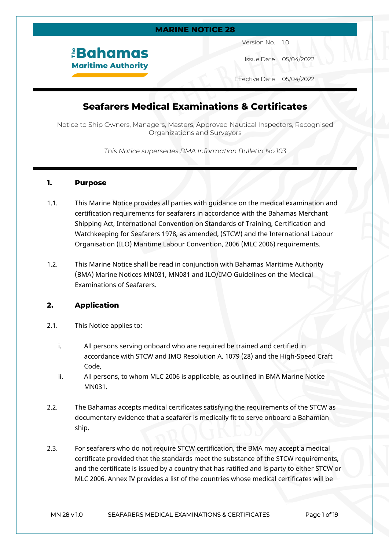### **MARINE NOTICE 28**

*<u><b>EBahamas</u>* **Maritime Authority** 

Version No. 1.0

Issue Date 05/04/2022

Effective Date 05/04/2022

# **Seafarers Medical Examinations & Certificates**

Notice to Ship Owners, Managers, Masters, Approved Nautical Inspectors, Recognised Organizations and Surveyors

*This Notice supersedes BMA Information Bulletin No.103*

### **1. Purpose**

- 1.1. This Marine Notice provides all parties with guidance on the medical examination and certification requirements for seafarers in accordance with the Bahamas Merchant Shipping Act, International Convention on Standards of Training, Certification and Watchkeeping for Seafarers 1978, as amended, (STCW) and the International Labour Organisation (ILO) Maritime Labour Convention, 2006 (MLC 2006) requirements.
- 1.2. This Marine Notice shall be read in conjunction with Bahamas Maritime Authority (BMA) Marine Notices MN031, MN081 and ILO/IMO Guidelines on the Medical Examinations of Seafarers.

### **2. Application**

- 2.1. This Notice applies to:
	- i. All persons serving onboard who are required be trained and certified in accordance with STCW and IMO Resolution A. 1079 (28) and the High-Speed Craft Code,
	- ii. All persons, to whom MLC 2006 is applicable, as outlined in BMA Marine Notice MN031.
- 2.2. The Bahamas accepts medical certificates satisfying the requirements of the STCW as documentary evidence that a seafarer is medically fit to serve onboard a Bahamian ship.
- 2.3. For seafarers who do not require STCW certification, the BMA may accept a medical certificate provided that the standards meet the substance of the STCW requirements, and the certificate is issued by a country that has ratified and is party to either STCW or MLC 2006. Annex IV provides a list of the countries whose medical certificates will be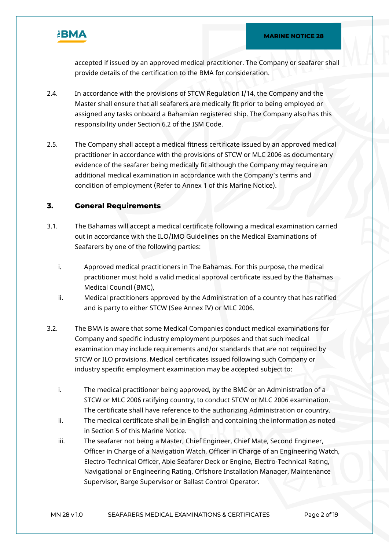

accepted if issued by an approved medical practitioner. The Company or seafarer shall provide details of the certification to the BMA for consideration.

- 2.4. In accordance with the provisions of STCW Regulation I/14, the Company and the Master shall ensure that all seafarers are medically fit prior to being employed or assigned any tasks onboard a Bahamian registered ship. The Company also has this responsibility under Section 6.2 of the ISM Code.
- 2.5. The Company shall accept a medical fitness certificate issued by an approved medical practitioner in accordance with the provisions of STCW or MLC 2006 as documentary evidence of the seafarer being medically fit although the Company may require an additional medical examination in accordance with the Company's terms and condition of employment (Refer to Annex 1 of this Marine Notice).

## **3. General Requirements**

- 3.1. The Bahamas will accept a medical certificate following a medical examination carried out in accordance with the ILO/IMO Guidelines on the Medical Examinations of Seafarers by one of the following parties:
	- i. Approved medical practitioners in The Bahamas. For this purpose, the medical practitioner must hold a valid medical approval certificate issued by the Bahamas Medical Council (BMC),
	- ii. Medical practitioners approved by the Administration of a country that has ratified and is party to either STCW (See Annex IV) or MLC 2006.
- 3.2. The BMA is aware that some Medical Companies conduct medical examinations for Company and specific industry employment purposes and that such medical examination may include requirements and/or standards that are not required by STCW or ILO provisions. Medical certificates issued following such Company or industry specific employment examination may be accepted subject to:
	- i. The medical practitioner being approved, by the BMC or an Administration of a STCW or MLC 2006 ratifying country, to conduct STCW or MLC 2006 examination. The certificate shall have reference to the authorizing Administration or country.
	- ii. The medical certificate shall be in English and containing the information as noted in Section 5 of this Marine Notice.
	- iii. The seafarer not being a Master, Chief Engineer, Chief Mate, Second Engineer, Officer in Charge of a Navigation Watch, Officer in Charge of an Engineering Watch, Electro-Technical Officer, Able Seafarer Deck or Engine, Electro-Technical Rating, Navigational or Engineering Rating, Offshore Installation Manager, Maintenance Supervisor, Barge Supervisor or Ballast Control Operator.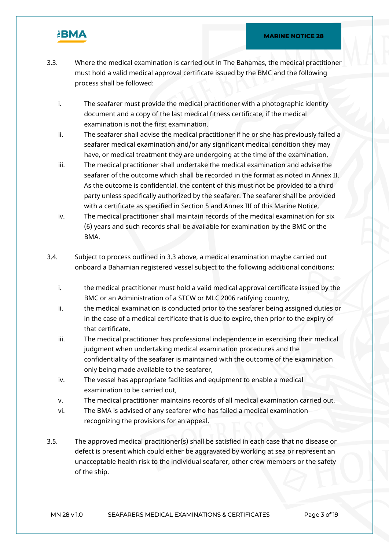

- 3.3. Where the medical examination is carried out in The Bahamas, the medical practitioner must hold a valid medical approval certificate issued by the BMC and the following process shall be followed:
	- i. The seafarer must provide the medical practitioner with a photographic identity document and a copy of the last medical fitness certificate, if the medical examination is not the first examination,
	- ii. The seafarer shall advise the medical practitioner if he or she has previously failed a seafarer medical examination and/or any significant medical condition they may have, or medical treatment they are undergoing at the time of the examination,
	- iii. The medical practitioner shall undertake the medical examination and advise the seafarer of the outcome which shall be recorded in the format as noted in Annex II. As the outcome is confidential, the content of this must not be provided to a third party unless specifically authorized by the seafarer. The seafarer shall be provided with a certificate as specified in Section 5 and Annex III of this Marine Notice,
	- iv. The medical practitioner shall maintain records of the medical examination for six (6) years and such records shall be available for examination by the BMC or the BMA.
- 3.4. Subject to process outlined in 3.3 above, a medical examination maybe carried out onboard a Bahamian registered vessel subject to the following additional conditions:
	- i. the medical practitioner must hold a valid medical approval certificate issued by the BMC or an Administration of a STCW or MLC 2006 ratifying country,
	- ii. the medical examination is conducted prior to the seafarer being assigned duties or in the case of a medical certificate that is due to expire, then prior to the expiry of that certificate,
	- iii. The medical practitioner has professional independence in exercising their medical judgment when undertaking medical examination procedures and the confidentiality of the seafarer is maintained with the outcome of the examination only being made available to the seafarer,
	- iv. The vessel has appropriate facilities and equipment to enable a medical examination to be carried out,
	- v. The medical practitioner maintains records of all medical examination carried out,
	- vi. The BMA is advised of any seafarer who has failed a medical examination recognizing the provisions for an appeal.
- 3.5. The approved medical practitioner(s) shall be satisfied in each case that no disease or defect is present which could either be aggravated by working at sea or represent an unacceptable health risk to the individual seafarer, other crew members or the safety of the ship.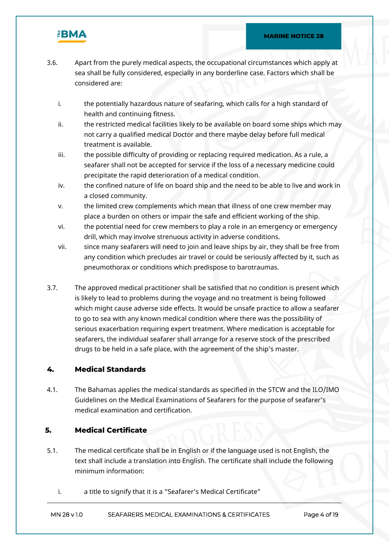

- 3.6. Apart from the purely medical aspects, the occupational circumstances which apply at sea shall be fully considered, especially in any borderline case. Factors which shall be considered are:
	- i. the potentially hazardous nature of seafaring, which calls for a high standard of health and continuing fitness.
	- ii. the restricted medical facilities likely to be available on board some ships which may not carry a qualified medical Doctor and there maybe delay before full medical treatment is available.
	- iii. the possible difficulty of providing or replacing required medication. As a rule, a seafarer shall not be accepted for service if the loss of a necessary medicine could precipitate the rapid deterioration of a medical condition.
	- iv. the confined nature of life on board ship and the need to be able to live and work in a closed community.
	- v. the limited crew complements which mean that illness of one crew member may place a burden on others or impair the safe and efficient working of the ship.
	- vi. the potential need for crew members to play a role in an emergency or emergency drill, which may involve strenuous activity in adverse conditions.
	- vii. since many seafarers will need to join and leave ships by air, they shall be free from any condition which precludes air travel or could be seriously affected by it, such as pneumothorax or conditions which predispose to barotraumas.
- 3.7. The approved medical practitioner shall be satisfied that no condition is present which is likely to lead to problems during the voyage and no treatment is being followed which might cause adverse side effects. It would be unsafe practice to allow a seafarer to go to sea with any known medical condition where there was the possibility of serious exacerbation requiring expert treatment. Where medication is acceptable for seafarers, the individual seafarer shall arrange for a reserve stock of the prescribed drugs to be held in a safe place, with the agreement of the ship's master.

## **4. Medical Standards**

4.1. The Bahamas applies the medical standards as specified in the STCW and the ILO/IMO Guidelines on the Medical Examinations of Seafarers for the purpose of seafarer's medical examination and certification.

### **5. Medical Certificate**

- 5.1. The medical certificate shall be in English or if the language used is not English, the text shall include a translation into English. The certificate shall include the following minimum information:
	- i. a title to signify that it is a "Seafarer's Medical Certificate"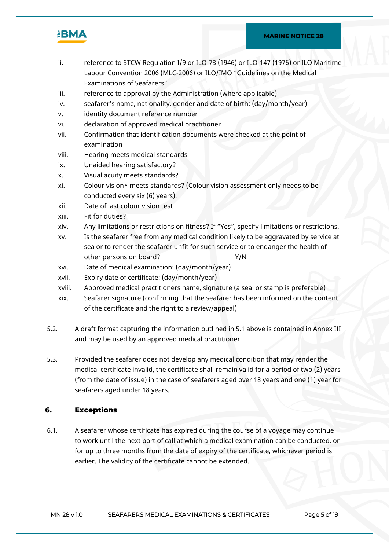

- ii. reference to STCW Regulation I/9 or ILO-73 (1946) or ILO-147 (1976) or ILO Maritime Labour Convention 2006 (MLC-2006) or ILO/IMO "Guidelines on the Medical Examinations of Seafarers"
- iii. reference to approval by the Administration (where applicable)
- iv. seafarer's name, nationality, gender and date of birth: (day/month/year)
- v. identity document reference number
- vi. declaration of approved medical practitioner
- vii. Confirmation that identification documents were checked at the point of examination
- viii. Hearing meets medical standards
- ix. Unaided hearing satisfactory?
- x. Visual acuity meets standards?
- xi. Colour vision\* meets standards? (Colour vision assessment only needs to be conducted every six (6) years).
- xii. Date of last colour vision test
- xiii. Fit for duties?
- xiv. Any limitations or restrictions on fitness? If "Yes", specify limitations or restrictions.
- xv. Is the seafarer free from any medical condition likely to be aggravated by service at sea or to render the seafarer unfit for such service or to endanger the health of other persons on board? Y/N
- xvi. Date of medical examination: (day/month/year)
- xvii. Expiry date of certificate: (day/month/year)
- xviii. Approved medical practitioners name, signature (a seal or stamp is preferable)
- xix. Seafarer signature (confirming that the seafarer has been informed on the content of the certificate and the right to a review/appeal)
- 5.2. A draft format capturing the information outlined in 5.1 above is contained in Annex III and may be used by an approved medical practitioner.
- 5.3. Provided the seafarer does not develop any medical condition that may render the medical certificate invalid, the certificate shall remain valid for a period of two (2) years (from the date of issue) in the case of seafarers aged over 18 years and one (1) year for seafarers aged under 18 years.

## **6. Exceptions**

6.1. A seafarer whose certificate has expired during the course of a voyage may continue to work until the next port of call at which a medical examination can be conducted, or for up to three months from the date of expiry of the certificate, whichever period is earlier. The validity of the certificate cannot be extended.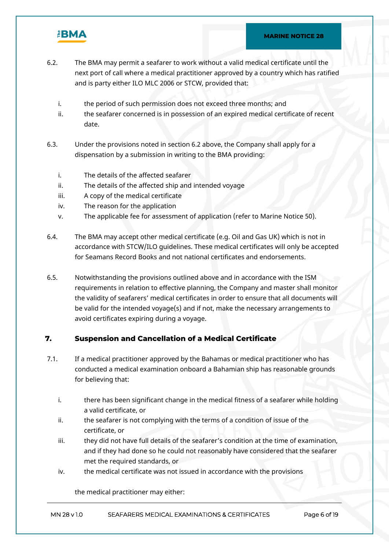

- 6.2. The BMA may permit a seafarer to work without a valid medical certificate until the next port of call where a medical practitioner approved by a country which has ratified and is party either ILO MLC 2006 or STCW, provided that:
	- i. the period of such permission does not exceed three months; and
	- ii. the seafarer concerned is in possession of an expired medical certificate of recent date.
- 6.3. Under the provisions noted in section 6.2 above, the Company shall apply for a dispensation by a submission in writing to the BMA providing:
	- i. The details of the affected seafarer
	- ii. The details of the affected ship and intended voyage
	- iii. A copy of the medical certificate
	- iv. The reason for the application
	- v. The applicable fee for assessment of application (refer to Marine Notice 50).
- 6.4. The BMA may accept other medical certificate (e.g. Oil and Gas UK) which is not in accordance with STCW/ILO guidelines. These medical certificates will only be accepted for Seamans Record Books and not national certificates and endorsements.
- 6.5. Notwithstanding the provisions outlined above and in accordance with the ISM requirements in relation to effective planning, the Company and master shall monitor the validity of seafarers' medical certificates in order to ensure that all documents will be valid for the intended voyage(s) and if not, make the necessary arrangements to avoid certificates expiring during a voyage.

## **7. Suspension and Cancellation of a Medical Certificate**

- 7.1. If a medical practitioner approved by the Bahamas or medical practitioner who has conducted a medical examination onboard a Bahamian ship has reasonable grounds for believing that:
	- i. there has been significant change in the medical fitness of a seafarer while holding a valid certificate, or
	- ii. the seafarer is not complying with the terms of a condition of issue of the certificate, or
	- iii. they did not have full details of the seafarer's condition at the time of examination, and if they had done so he could not reasonably have considered that the seafarer met the required standards, or
	- iv. the medical certificate was not issued in accordance with the provisions

the medical practitioner may either: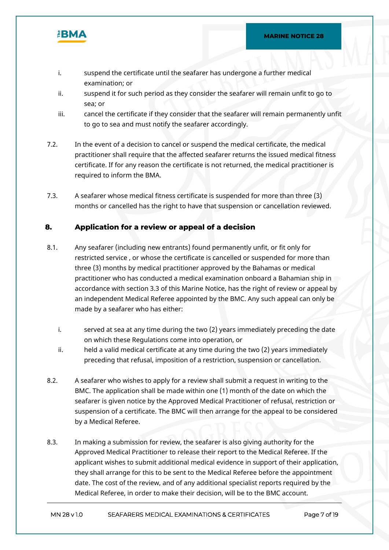

- i. suspend the certificate until the seafarer has undergone a further medical examination; or
- ii. suspend it for such period as they consider the seafarer will remain unfit to go to sea; or
- iii. cancel the certificate if they consider that the seafarer will remain permanently unfit to go to sea and must notify the seafarer accordingly.
- 7.2. In the event of a decision to cancel or suspend the medical certificate, the medical practitioner shall require that the affected seafarer returns the issued medical fitness certificate. If for any reason the certificate is not returned, the medical practitioner is required to inform the BMA.
- 7.3. A seafarer whose medical fitness certificate is suspended for more than three (3) months or cancelled has the right to have that suspension or cancellation reviewed.

## **8. Application for a review or appeal of a decision**

- 8.1. Any seafarer (including new entrants) found permanently unfit, or fit only for restricted service , or whose the certificate is cancelled or suspended for more than three (3) months by medical practitioner approved by the Bahamas or medical practitioner who has conducted a medical examination onboard a Bahamian ship in accordance with section 3.3 of this Marine Notice, has the right of review or appeal by an independent Medical Referee appointed by the BMC. Any such appeal can only be made by a seafarer who has either:
	- i. served at sea at any time during the two (2) years immediately preceding the date on which these Regulations come into operation, or
	- ii. held a valid medical certificate at any time during the two (2) years immediately preceding that refusal, imposition of a restriction, suspension or cancellation.
- 8.2. A seafarer who wishes to apply for a review shall submit a request in writing to the BMC. The application shall be made within one (1) month of the date on which the seafarer is given notice by the Approved Medical Practitioner of refusal, restriction or suspension of a certificate. The BMC will then arrange for the appeal to be considered by a Medical Referee.
- 8.3. In making a submission for review, the seafarer is also giving authority for the Approved Medical Practitioner to release their report to the Medical Referee. If the applicant wishes to submit additional medical evidence in support of their application, they shall arrange for this to be sent to the Medical Referee before the appointment date. The cost of the review, and of any additional specialist reports required by the Medical Referee, in order to make their decision, will be to the BMC account.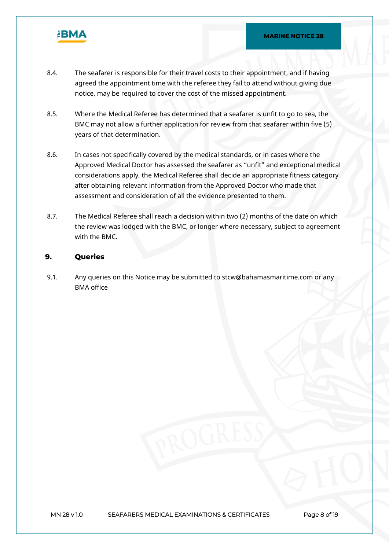

- 8.4. The seafarer is responsible for their travel costs to their appointment, and if having agreed the appointment time with the referee they fail to attend without giving due notice, may be required to cover the cost of the missed appointment.
- 8.5. Where the Medical Referee has determined that a seafarer is unfit to go to sea, the BMC may not allow a further application for review from that seafarer within five (5) years of that determination.
- 8.6. In cases not specifically covered by the medical standards, or in cases where the Approved Medical Doctor has assessed the seafarer as "unfit" and exceptional medical considerations apply, the Medical Referee shall decide an appropriate fitness category after obtaining relevant information from the Approved Doctor who made that assessment and consideration of all the evidence presented to them.
- 8.7. The Medical Referee shall reach a decision within two (2) months of the date on which the review was lodged with the BMC, or longer where necessary, subject to agreement with the BMC.

### **9. Queries**

9.1. Any queries on this Notice may be submitted to stcw@bahamasmaritime.com or any BMA office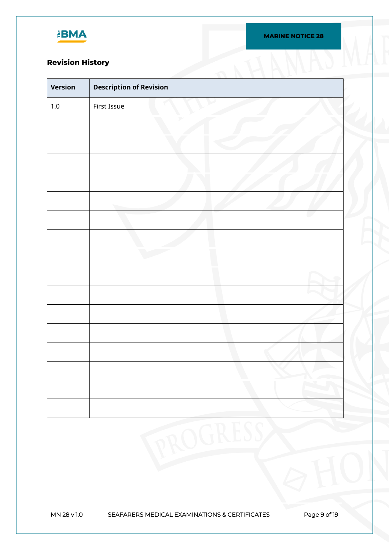

**MARINE NOTICE 28**

# **Revision History**

| Version | <b>Description of Revision</b> |  |
|---------|--------------------------------|--|
| $1.0\,$ | First Issue                    |  |
|         |                                |  |
|         |                                |  |
|         |                                |  |
|         |                                |  |
|         |                                |  |
|         |                                |  |
|         |                                |  |
|         |                                |  |
|         |                                |  |
|         |                                |  |
|         |                                |  |
|         |                                |  |
|         |                                |  |
|         |                                |  |
|         |                                |  |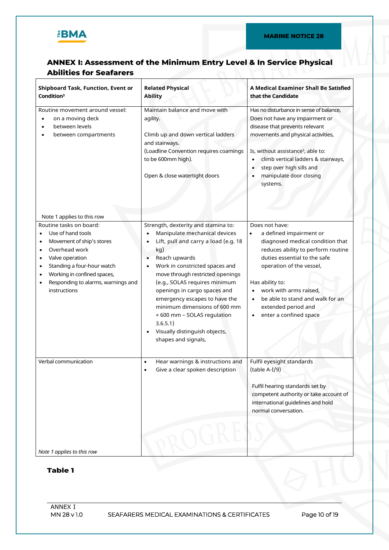

# **ANNEX I: Assessment of the Minimum Entry Level & In Service Physical Abilities for Seafarers**

| <b>Shipboard Task, Function, Event or</b><br>Condition <sup>3</sup>                                                                                                                                                                                                                                                          | <b>Related Physical</b><br><b>Ability</b>                                                                                                                                                                                                                                                                                                                                                                                                                                                                        | A Medical Examiner Shall Be Satisfied<br>that the Candidate                                                                                                                                                                                                                                                                    |
|------------------------------------------------------------------------------------------------------------------------------------------------------------------------------------------------------------------------------------------------------------------------------------------------------------------------------|------------------------------------------------------------------------------------------------------------------------------------------------------------------------------------------------------------------------------------------------------------------------------------------------------------------------------------------------------------------------------------------------------------------------------------------------------------------------------------------------------------------|--------------------------------------------------------------------------------------------------------------------------------------------------------------------------------------------------------------------------------------------------------------------------------------------------------------------------------|
| Routine movement around vessel:<br>on a moving deck<br>$\bullet$<br>between levels<br>between compartments                                                                                                                                                                                                                   | Maintain balance and move with<br>agility.<br>Climb up and down vertical ladders<br>and stairways.<br>(Loadline Convention requires coamings<br>to be 600mm high).<br>Open & close watertight doors                                                                                                                                                                                                                                                                                                              | Has no disturbance in sense of balance,<br>Does not have any impairment or<br>disease that prevents relevant<br>movements and physical activities,<br>Is, without assistance <sup>5</sup> , able to:<br>climb vertical ladders & stairways,<br>step over high sills and<br>manipulate door closing<br>systems.                 |
| Note 1 applies to this row<br>Routine tasks on board:<br>Use of hand tools<br>Movement of ship's stores<br>٠<br>Overhead work<br>$\bullet$<br>Valve operation<br>$\bullet$<br>Standing a four-hour watch<br>٠<br>Working in confined spaces,<br>$\bullet$<br>Responding to alarms, warnings and<br>$\bullet$<br>instructions | Strength, dexterity and stamina to:<br>Manipulate mechanical devices<br>$\bullet$<br>Lift, pull and carry a load (e.g. 18<br>$\bullet$<br>kg)<br>Reach upwards<br>$\bullet$<br>Work in constricted spaces and<br>$\bullet$<br>move through restricted openings<br>(e.g., SOLAS requires minimum<br>openings in cargo spaces and<br>emergency escapes to have the<br>minimum dimensions of 600 mm<br>× 600 mm - SOLAS regulation<br>3.6.5.1)<br>Visually distinguish objects,<br>$\bullet$<br>shapes and signals, | Does not have:<br>a defined impairment or<br>$\bullet$<br>diagnosed medical condition that<br>reduces ability to perform routine<br>duties essential to the safe<br>operation of the vessel,<br>Has ability to:<br>work with arms raised,<br>be able to stand and walk for an<br>extended period and<br>enter a confined space |
| Verbal communication<br>Note 1 applies to this row                                                                                                                                                                                                                                                                           | Hear warnings & instructions and<br>$\bullet$<br>Give a clear spoken description                                                                                                                                                                                                                                                                                                                                                                                                                                 | Fulfil eyesight standards<br>$(table A-I/9)$<br>Fulfil hearing standards set by<br>competent authority or take account of<br>international guidelines and hold<br>normal conversation.                                                                                                                                         |

## **Table 1**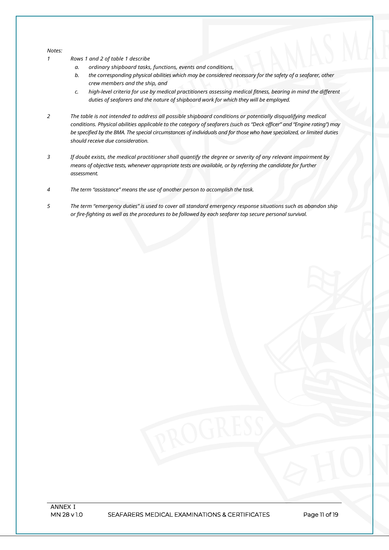#### *Notes:*

- *1 Rows 1 and 2 of table 1 describe*
	- *a. ordinary shipboard tasks, functions, events and conditions,*
	- b. the corresponding physical abilities which may be considered necessary for the safety of a seafarer, other *crew members and the ship, and*
	- *c. high-level criteria for use by medical practitioners assessing medical fitness, bearing in mind the different duties of seafarers and the nature of shipboard work for which they will be employed.*
- *2 The table is not intended to address all possible shipboard conditions or potentially disqualifying medical* conditions. Physical abilities applicable to the category of seafarers (such as "Deck officer" and "Engine rating") may be specified by the BMA. The special circumstances of individuals and for those who have specialized, or limited duties *should receive due consideration.*
- 3 If doubt exists, the medical practitioner shall quantify the degree or severity of any relevant impairment by *means of objective tests, whenever appropriate tests are available, or by referring the candidate for further assessment.*
- *4 The term "assistance" means the use of another person to accomplish the task.*
- 5 The term "emergency duties" is used to cover all standard emergency response situations such as abandon ship *or fire-fighting as well as the procedures to be followed by each seafarer top secure personal survival.*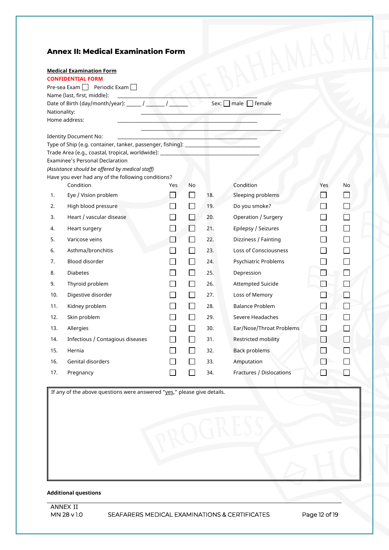## **Annex II: Medical Examination Form**

|              | <b>Medical Examination Form</b>                                                  |     |                     |     |                                |               |    |
|--------------|----------------------------------------------------------------------------------|-----|---------------------|-----|--------------------------------|---------------|----|
|              | <b>CONFIDENTIAL FORM</b>                                                         |     |                     |     |                                |               |    |
|              | Pre-sea Exam     Periodic Exam                                                   |     |                     |     |                                |               |    |
|              | Name (last, first, middle):                                                      |     |                     |     |                                |               |    |
|              | Date of Birth (day/month/year): _______ / ________ / ________                    |     |                     |     | Sex: $\Box$ male $\Box$ female |               |    |
| Nationality: |                                                                                  |     |                     |     |                                |               |    |
|              | Home address:                                                                    |     |                     |     |                                |               |    |
|              | <b>Identity Document No:</b>                                                     |     |                     |     |                                |               |    |
|              | Type of Ship (e.g. container, tanker, passenger, fishing): __                    |     |                     |     |                                |               |    |
|              | Trade Area (e.g., coastal, tropical, worldwide): _______________________________ |     |                     |     |                                |               |    |
|              | <b>Examinee's Personal Declaration</b>                                           |     |                     |     |                                |               |    |
|              | (Assistance should be offered by medical staff)                                  |     |                     |     |                                |               |    |
|              | Have you ever had any of the following conditions?                               |     |                     |     |                                |               |    |
|              | Condition                                                                        | Yes | No                  |     | Condition                      | Yes           | No |
| 1.           | Eye / Vision problem                                                             |     | $\vert \ \ \vert$   | 18. | Sleeping problems              | $\mathcal{A}$ |    |
| 2.           | High blood pressure                                                              |     | $\blacksquare$      | 19. | Do you smoke?                  |               |    |
| 3.           | Heart / vascular disease                                                         |     | $\overline{\cal A}$ | 20. | Operation / Surgery            |               |    |
| 4.           | Heart surgery                                                                    |     | X                   | 21. | Epilepsy / Seizures            |               |    |
| 5.           | Varicose veins                                                                   |     | $\mathcal{L}$       | 22. | Dizziness / Fainting           |               |    |
| 6.           | Asthma/bronchitis                                                                |     | $\sim$              | 23. | <b>Loss of Consciousness</b>   |               |    |
| 7.           | Blood disorder                                                                   |     | $\sim$              | 24. | Psychiatric Problems           |               |    |
| 8.           | <b>Diabetes</b>                                                                  |     | $\sim$              | 25. | Depression                     |               |    |
| 9.           | Thyroid problem                                                                  |     | $\sim$              | 26. | <b>Attempted Suicide</b>       |               |    |
| 10.          | Digestive disorder                                                               |     |                     | 27. | Loss of Memory                 |               |    |
| 11.          | Kidney problem                                                                   |     | $\sim$              | 28. | <b>Balance Problem</b>         |               |    |
| 12.          | Skin problem                                                                     |     | $\sim$              | 29. | Severe Headaches               |               |    |
| 13.          | Allergies                                                                        |     | $\sim$              | 30. | Ear/Nose/Throat Problems       |               |    |
| 14.          | Infectious / Contagious diseases                                                 |     | M                   | 31. | Restricted mobility            |               |    |
| 15.          | Hernia                                                                           |     | $\sim$              | 32. | <b>Back problems</b>           |               |    |
| 16.          | <b>Genital disorders</b>                                                         |     |                     | 33. | Amputation                     |               |    |
| 17.          | Pregnancy                                                                        |     |                     | 34. | Fractures / Dislocations       |               |    |
|              |                                                                                  |     |                     |     |                                |               |    |

If any of the above questions were answered "yes," please give details.

### **Additional questions**

**MN 28 v 1.0 SEAFARERS MEDICAL EXAMINATIONS & CERTIFICATES Page 12 of 19**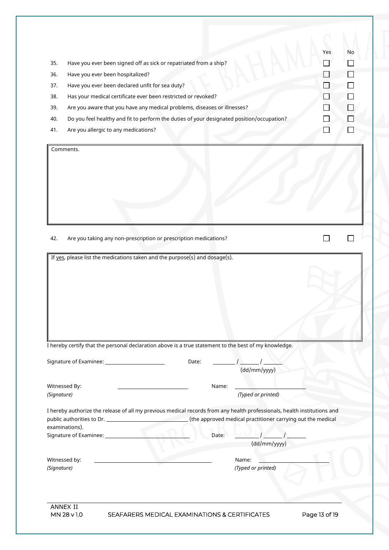| 35.<br>36.<br>37.<br>38.<br>39.<br>40.<br>41. | Have you ever been signed off as sick or repatriated from a ship?<br>Have you ever been hospitalized?<br>Have you ever been declared unfit for sea duty?<br>Has your medical certificate ever been restricted or revoked?<br>Are you aware that you have any medical problems, diseases or illnesses?<br>Do you feel healthy and fit to perform the duties of your designated position/occupation?<br>Are you allergic to any medications? |       |                                                             | Yes | No |
|-----------------------------------------------|--------------------------------------------------------------------------------------------------------------------------------------------------------------------------------------------------------------------------------------------------------------------------------------------------------------------------------------------------------------------------------------------------------------------------------------------|-------|-------------------------------------------------------------|-----|----|
|                                               | Comments.                                                                                                                                                                                                                                                                                                                                                                                                                                  |       |                                                             |     |    |
|                                               |                                                                                                                                                                                                                                                                                                                                                                                                                                            |       |                                                             |     |    |
|                                               |                                                                                                                                                                                                                                                                                                                                                                                                                                            |       |                                                             |     |    |
|                                               |                                                                                                                                                                                                                                                                                                                                                                                                                                            |       |                                                             |     |    |
|                                               |                                                                                                                                                                                                                                                                                                                                                                                                                                            |       |                                                             |     |    |
| 42.                                           | Are you taking any non-prescription or prescription medications?                                                                                                                                                                                                                                                                                                                                                                           |       |                                                             |     |    |
|                                               |                                                                                                                                                                                                                                                                                                                                                                                                                                            |       |                                                             |     |    |
|                                               | If yes, please list the medications taken and the purpose(s) and dosage(s).                                                                                                                                                                                                                                                                                                                                                                |       |                                                             |     |    |
|                                               |                                                                                                                                                                                                                                                                                                                                                                                                                                            |       |                                                             |     |    |
|                                               |                                                                                                                                                                                                                                                                                                                                                                                                                                            |       |                                                             |     |    |
|                                               |                                                                                                                                                                                                                                                                                                                                                                                                                                            |       |                                                             |     |    |
|                                               |                                                                                                                                                                                                                                                                                                                                                                                                                                            |       |                                                             |     |    |
|                                               |                                                                                                                                                                                                                                                                                                                                                                                                                                            |       |                                                             |     |    |
|                                               |                                                                                                                                                                                                                                                                                                                                                                                                                                            |       |                                                             |     |    |
|                                               |                                                                                                                                                                                                                                                                                                                                                                                                                                            |       |                                                             |     |    |
|                                               |                                                                                                                                                                                                                                                                                                                                                                                                                                            |       |                                                             |     |    |
|                                               | I hereby certify that the personal declaration above is a true statement to the best of my knowledge.                                                                                                                                                                                                                                                                                                                                      |       |                                                             |     |    |
|                                               | Signature of Examinee: ________________________                                                                                                                                                                                                                                                                                                                                                                                            | Date: |                                                             |     |    |
|                                               |                                                                                                                                                                                                                                                                                                                                                                                                                                            |       | (dd/mm/yyyy)                                                |     |    |
|                                               |                                                                                                                                                                                                                                                                                                                                                                                                                                            |       |                                                             |     |    |
|                                               | Witnessed By:                                                                                                                                                                                                                                                                                                                                                                                                                              | Name: | (Typed or printed)                                          |     |    |
|                                               |                                                                                                                                                                                                                                                                                                                                                                                                                                            |       |                                                             |     |    |
|                                               | I hereby authorize the release of all my previous medical records from any health professionals, health institutions and                                                                                                                                                                                                                                                                                                                   |       |                                                             |     |    |
|                                               | examinations).                                                                                                                                                                                                                                                                                                                                                                                                                             |       | (the approved medical practitioner carrying out the medical |     |    |
|                                               | Signature of Examinee: ______________                                                                                                                                                                                                                                                                                                                                                                                                      | Date: |                                                             |     |    |
| (Signature)                                   |                                                                                                                                                                                                                                                                                                                                                                                                                                            |       | (dd/mm/yyyy)                                                |     |    |
|                                               | Witnessed by:                                                                                                                                                                                                                                                                                                                                                                                                                              |       | Name:                                                       |     |    |
| (Signature)                                   |                                                                                                                                                                                                                                                                                                                                                                                                                                            |       | (Typed or printed)                                          |     |    |
|                                               |                                                                                                                                                                                                                                                                                                                                                                                                                                            |       |                                                             |     |    |
|                                               |                                                                                                                                                                                                                                                                                                                                                                                                                                            |       |                                                             |     |    |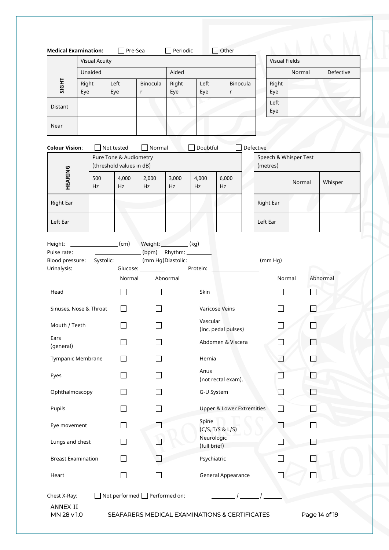|                                                                                                                                                     | <b>Visual Acuity</b> |                                                                                                                                                                                                                                                                                                                                                                                                                                                                                       |                     |              |                            |                                      | <b>Visual Fields</b> |              |                       |          |        |           |
|-----------------------------------------------------------------------------------------------------------------------------------------------------|----------------------|---------------------------------------------------------------------------------------------------------------------------------------------------------------------------------------------------------------------------------------------------------------------------------------------------------------------------------------------------------------------------------------------------------------------------------------------------------------------------------------|---------------------|--------------|----------------------------|--------------------------------------|----------------------|--------------|-----------------------|----------|--------|-----------|
|                                                                                                                                                     | Unaided              |                                                                                                                                                                                                                                                                                                                                                                                                                                                                                       |                     |              | Aided                      |                                      |                      |              |                       |          | Normal | Defective |
| SIGHT                                                                                                                                               | Right<br>Eye         | Left<br>Eye                                                                                                                                                                                                                                                                                                                                                                                                                                                                           | Binocula<br>r       | Right<br>Eye | Left<br>Eye                | Binocula<br>r                        |                      | Right<br>Eye |                       |          |        |           |
| Distant                                                                                                                                             |                      |                                                                                                                                                                                                                                                                                                                                                                                                                                                                                       |                     |              |                            |                                      |                      | Left<br>Eye  |                       |          |        |           |
| Near                                                                                                                                                |                      |                                                                                                                                                                                                                                                                                                                                                                                                                                                                                       |                     |              |                            |                                      |                      |              |                       |          |        |           |
| <b>Colour Vision:</b>                                                                                                                               |                      | Not tested                                                                                                                                                                                                                                                                                                                                                                                                                                                                            | Normal              |              | Doubtful                   |                                      | Defective            |              |                       |          |        |           |
|                                                                                                                                                     |                      | Pure Tone & Audiometry<br>(threshold values in dB)                                                                                                                                                                                                                                                                                                                                                                                                                                    |                     |              |                            |                                      |                      | (metres)     | Speech & Whisper Test |          |        |           |
| HEARING                                                                                                                                             | 500<br>Hz            | 4,000<br>Hz                                                                                                                                                                                                                                                                                                                                                                                                                                                                           | 2,000<br>Hz         | 3,000<br>Hz  | 4,000<br>Hz                | 6,000<br>Hz                          |                      |              | Normal                | Whisper  |        |           |
| Right Ear                                                                                                                                           |                      |                                                                                                                                                                                                                                                                                                                                                                                                                                                                                       |                     |              |                            |                                      |                      | Right Ear    |                       |          |        |           |
| Left Ear                                                                                                                                            |                      |                                                                                                                                                                                                                                                                                                                                                                                                                                                                                       |                     |              |                            |                                      |                      | Left Ear     |                       |          |        |           |
| Height:<br>Pulse rate:                                                                                                                              |                      | $\begin{matrix} \mathsf{c} \mathsf{c} \mathsf{c} \mathsf{c} \mathsf{c} \mathsf{c} \mathsf{c} \mathsf{c} \mathsf{c} \mathsf{c} \mathsf{c} \mathsf{c} \mathsf{c} \mathsf{c} \mathsf{c} \mathsf{c} \mathsf{c} \mathsf{c} \mathsf{c} \mathsf{c} \mathsf{c} \mathsf{c} \mathsf{c} \mathsf{c} \mathsf{c} \mathsf{c} \mathsf{c} \mathsf{c} \mathsf{c} \mathsf{c} \mathsf{c} \mathsf{c} \mathsf{c} \mathsf{c} \mathsf{c} \mathsf{c$<br>Blood pressure: Systolic: __________ (mm Hg)Diastolic: | Weight: $(kg)$      |              |                            | (mm Hg)                              |                      |              |                       |          |        |           |
| Urinalysis:                                                                                                                                         |                      | Normal                                                                                                                                                                                                                                                                                                                                                                                                                                                                                | Glucose: __________ | Abnormal     | Protein:                   |                                      |                      | Normal       |                       | Abnormal |        |           |
| Head                                                                                                                                                |                      |                                                                                                                                                                                                                                                                                                                                                                                                                                                                                       |                     |              | Skin                       |                                      |                      |              |                       |          |        |           |
| Sinuses, Nose & Throat                                                                                                                              |                      |                                                                                                                                                                                                                                                                                                                                                                                                                                                                                       |                     |              |                            | Varicose Veins                       |                      |              |                       |          |        |           |
| Mouth / Teeth                                                                                                                                       |                      |                                                                                                                                                                                                                                                                                                                                                                                                                                                                                       |                     |              | Vascular                   | (inc. pedal pulses)                  |                      |              |                       |          |        |           |
|                                                                                                                                                     |                      |                                                                                                                                                                                                                                                                                                                                                                                                                                                                                       |                     |              |                            |                                      |                      |              |                       |          |        |           |
|                                                                                                                                                     |                      |                                                                                                                                                                                                                                                                                                                                                                                                                                                                                       |                     |              |                            | Abdomen & Viscera                    |                      |              |                       |          |        |           |
|                                                                                                                                                     |                      |                                                                                                                                                                                                                                                                                                                                                                                                                                                                                       |                     |              | Hernia                     |                                      |                      |              |                       |          |        |           |
|                                                                                                                                                     |                      |                                                                                                                                                                                                                                                                                                                                                                                                                                                                                       |                     |              | Anus                       | (not rectal exam).                   |                      |              |                       |          |        |           |
|                                                                                                                                                     |                      |                                                                                                                                                                                                                                                                                                                                                                                                                                                                                       |                     |              | G-U System                 |                                      |                      |              |                       |          |        |           |
|                                                                                                                                                     |                      |                                                                                                                                                                                                                                                                                                                                                                                                                                                                                       |                     |              |                            | <b>Upper &amp; Lower Extremities</b> |                      |              |                       |          |        |           |
|                                                                                                                                                     |                      |                                                                                                                                                                                                                                                                                                                                                                                                                                                                                       |                     |              | Spine                      | (C/S, T/S & L/S)                     |                      |              |                       |          |        |           |
|                                                                                                                                                     |                      |                                                                                                                                                                                                                                                                                                                                                                                                                                                                                       |                     |              | Neurologic<br>(full brief) |                                      |                      |              |                       |          |        |           |
|                                                                                                                                                     |                      |                                                                                                                                                                                                                                                                                                                                                                                                                                                                                       |                     |              | Psychiatric                |                                      |                      |              |                       |          |        |           |
| Ears<br>(general)<br>Tympanic Membrane<br>Eyes<br>Ophthalmoscopy<br>Pupils<br>Eye movement<br>Lungs and chest<br><b>Breast Examination</b><br>Heart |                      |                                                                                                                                                                                                                                                                                                                                                                                                                                                                                       |                     |              |                            | General Appearance                   |                      |              |                       |          |        |           |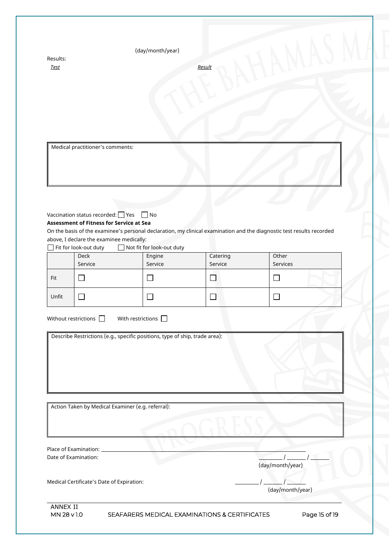| Results:<br><b>Test</b>        |                                                                                                                                                                 | (day/month/year)                                                                                        | Result              |                                                                                                                       |  |
|--------------------------------|-----------------------------------------------------------------------------------------------------------------------------------------------------------------|---------------------------------------------------------------------------------------------------------|---------------------|-----------------------------------------------------------------------------------------------------------------------|--|
|                                | Medical practitioner's comments:                                                                                                                                |                                                                                                         |                     |                                                                                                                       |  |
|                                |                                                                                                                                                                 |                                                                                                         |                     |                                                                                                                       |  |
|                                |                                                                                                                                                                 |                                                                                                         |                     |                                                                                                                       |  |
|                                | Vaccination status recorded: $\Box$ Yes<br><b>Assessment of Fitness for Service at Sea</b><br>above, I declare the examinee medically:<br>Fit for look-out duty | $\Box$ No<br>Not fit for look-out duty                                                                  |                     | On the basis of the examinee's personal declaration, my clinical examination and the diagnostic test results recorded |  |
|                                | Deck<br>Service                                                                                                                                                 | Engine<br>Service                                                                                       | Catering<br>Service | Other<br>Services                                                                                                     |  |
| Fit                            | $\Box$                                                                                                                                                          | $\Box$                                                                                                  | □                   | $\Box$                                                                                                                |  |
| Unfit                          | $\Box$                                                                                                                                                          | $\Box$                                                                                                  | $\Box$              | $\Box$                                                                                                                |  |
|                                | Without restrictions $\Box$                                                                                                                                     | With restrictions $\Box$<br>Describe Restrictions (e.g., specific positions, type of ship, trade area): |                     |                                                                                                                       |  |
|                                | Action Taken by Medical Examiner (e.g. referral):                                                                                                               |                                                                                                         |                     |                                                                                                                       |  |
|                                | Place of Examination: ____________<br>Date of Examination:                                                                                                      |                                                                                                         |                     |                                                                                                                       |  |
|                                |                                                                                                                                                                 |                                                                                                         |                     | (day/month/year)                                                                                                      |  |
|                                | Medical Certificate's Date of Expiration:                                                                                                                       |                                                                                                         |                     | (day/month/year)                                                                                                      |  |
| <b>ANNEX II</b><br>MN 28 v 1.0 |                                                                                                                                                                 | SEAFARERS MEDICAL EXAMINATIONS & CERTIFICATES                                                           |                     | Page 15 of 19                                                                                                         |  |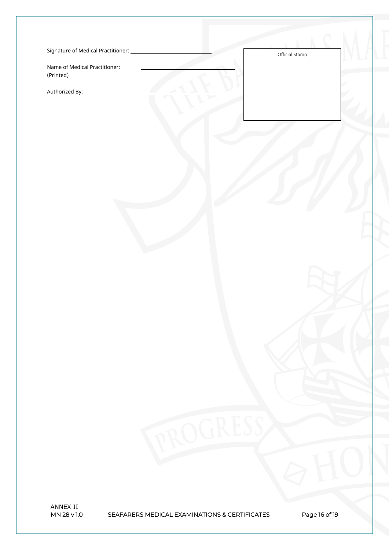| Signature of Medical Practitioner: |  |
|------------------------------------|--|
|------------------------------------|--|

Name of Medical Practitioner: (Printed)

Authorized By:

Official Stamp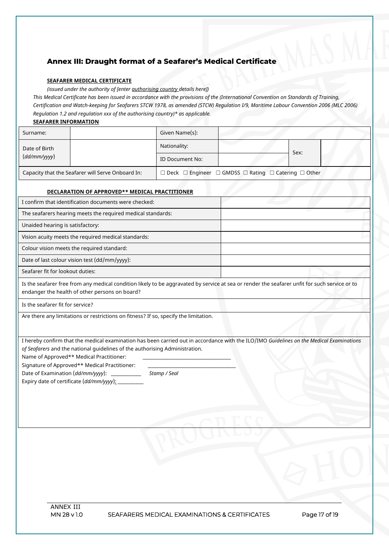## **Annex III: Draught format of a Seafarer's Medical Certificate**

#### **SEAFARER MEDICAL CERTIFICATE**

*(issued under the authority of [enter authorising country details here])*

*This Medical Certificate has been issued in accordance with the provisions of the (International Convention on Standards of Training, Certification and Watch-keeping for Seafarers STCW 1978, as amended (STCW) Regulation I/9, Maritime Labour Convention 2006 (MLC 2006) Regulation 1.2 and regulation xxx of the authorising country)\* as applicable.*

#### **SEAFARER INFORMATION**

| Surname:                                          |  | Given Name(s):  |                                                                                     |      |
|---------------------------------------------------|--|-----------------|-------------------------------------------------------------------------------------|------|
| Date of Birth                                     |  | Nationality:    |                                                                                     | Sex: |
| (dd/mm/yyy)                                       |  | ID Document No: |                                                                                     |      |
| Capacity that the Seafarer will Serve Onboard In: |  |                 | $\Box$ Deck $\Box$ Engineer $\Box$ GMDSS $\Box$ Rating $\Box$ Catering $\Box$ Other |      |

#### **DECLARATION OF APPROVED\*\* MEDICAL PRACTITIONER**

| I confirm that identification documents were checked:       |  |
|-------------------------------------------------------------|--|
| The seafarers hearing meets the required medical standards: |  |
| Unaided hearing is satisfactory:                            |  |
| Vision acuity meets the required medical standards:         |  |
| Colour vision meets the required standard:                  |  |
| Date of last colour vision test (dd/mm/yyyy):               |  |
| Seafarer fit for lookout duties:                            |  |

Is the seafarer free from any medical condition likely to be aggravated by service at sea or render the seafarer unfit for such service or to endanger the health of other persons on board?

Is the seafarer fit for service?

Are there any limitations or restrictions on fitness? If so, specify the limitation.

I hereby confirm that the medical examination has been carried out in accordance with the ILO/IMO *Guidelines on the Medical Examinations of Seafarers* and the national guidelines of the authorising Administration.

Name of Approved\*\* Medical Practitioner:

Signature of Approved\*\* Medical Practitioner:

Date of Examination (*dd/mm/yyyy*): \_\_\_\_\_\_\_\_\_\_\_\_\_\_ *Stamp / Seal* 

Expiry date of certificate (*dd/mm/yyyy*):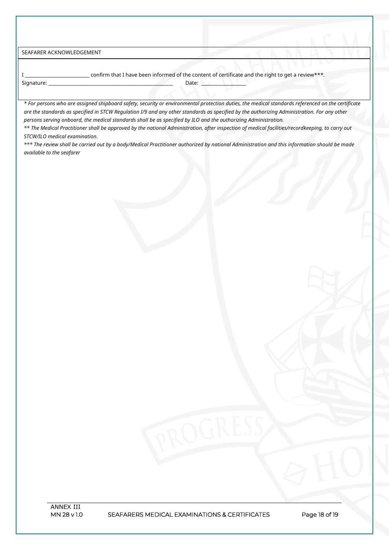SEAFARER ACKNOWLEDGEMENT

I \_\_\_\_\_\_\_\_\_\_\_\_\_\_\_\_\_\_\_\_\_\_\_\_\_\_\_\_\_\_ confirm that I have been informed of the content of certificate and the right to get a review\*\*\**.* Signature: \_\_\_\_\_\_\_\_\_\_\_\_\_\_\_\_\_\_\_\_\_\_\_\_\_\_\_\_\_\_\_\_\_\_\_\_\_\_\_\_\_\_\_\_\_\_\_\_\_\_\_\_\_\_\_\_\_\_ Date: \_\_\_\_\_\_\_\_\_\_\_\_\_\_\_\_\_\_\_\_\_

*\* For persons who are assigned shipboard safety, security or environmental protection duties, the medical standards referenced on the certificate are the standards as specified in STCW Regulation I/9 and any other standards as specified by the authorizing Administration. For any other persons serving onboard, the medical standards shall be as specified by ILO and the authorizing Administration.* 

*\*\* The Medical Practitioner shall be approved by the national Administration, after inspection of medical facilities/recordkeeping, to carry out STCW/ILO medical examination.*

*\*\*\* The review shall be carried out by a body/Medical Practitioner authorized by national Administration and this information should be made available to the seafarer*